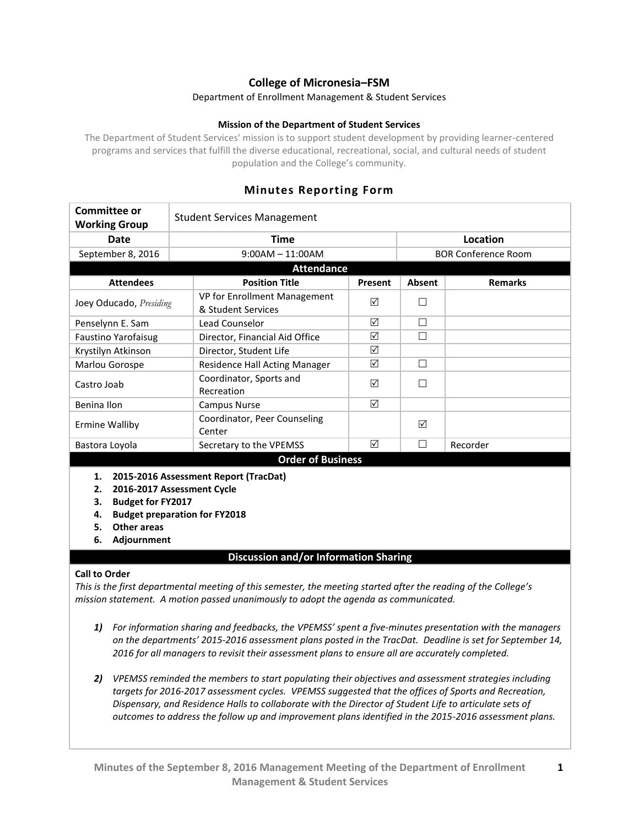# **College of Micronesia–FSM**

### Department of Enrollment Management & Student Services

### **Mission of the Department of Student Services**

The Department of Student Services' mission is to support student development by providing learner-centered programs and services that fulfill the diverse educational, recreational, social, and cultural needs of student population and the College's community.

| Committee or<br><b>Working Group</b> | <b>Student Services Management</b> |                                                    |         |                            |                |  |
|--------------------------------------|------------------------------------|----------------------------------------------------|---------|----------------------------|----------------|--|
| Date                                 |                                    | Time                                               |         |                            | Location       |  |
| September 8, 2016                    |                                    | $9:00AM - 11:00AM$                                 |         | <b>BOR Conference Room</b> |                |  |
| <b>Attendance</b>                    |                                    |                                                    |         |                            |                |  |
| <b>Attendees</b>                     |                                    | <b>Position Title</b>                              | Present | Absent                     | <b>Remarks</b> |  |
| Joey Oducado, Presiding              |                                    | VP for Enrollment Management<br>& Student Services | ☑       |                            |                |  |
| Penselynn E. Sam                     |                                    | Lead Counselor                                     | ☑       |                            |                |  |
| <b>Faustino Yarofaisug</b>           |                                    | Director, Financial Aid Office                     | ☑       |                            |                |  |
| Krystilyn Atkinson                   |                                    | Director, Student Life                             | ☑       |                            |                |  |
| Marlou Gorospe                       |                                    | Residence Hall Acting Manager                      | ☑       |                            |                |  |
| Castro Joab                          |                                    | Coordinator, Sports and<br>Recreation              | ☑       |                            |                |  |
| Benina Ilon                          |                                    | <b>Campus Nurse</b>                                | ☑       |                            |                |  |
| <b>Ermine Walliby</b>                |                                    | Coordinator, Peer Counseling<br>Center             |         | $\triangledown$            |                |  |
| Bastora Loyola                       |                                    | Secretary to the VPEMSS                            | ☑       |                            | Recorder       |  |
| <b>Order of Business</b>             |                                    |                                                    |         |                            |                |  |

# **Minutes Reporting Form**

- **1. 2015-2016 Assessment Report (TracDat)**
- **2. 2016-2017 Assessment Cycle**
- **3. Budget for FY2017**
- **4. Budget preparation for FY2018**
- **5. Other areas**
- **6. Adjournment**

### **Discussion and/or Information Sharing**

### **Call to Order**

*This is the first departmental meeting of this semester, the meeting started after the reading of the College's mission statement. A motion passed unanimously to adopt the agenda as communicated.*

- *1) For information sharing and feedbacks, the VPEMSS' spent a five-minutes presentation with the managers on the departments' 2015-2016 assessment plans posted in the TracDat. Deadline is set for September 14, 2016 for all managers to revisit their assessment plans to ensure all are accurately completed.*
- *2) VPEMSS reminded the members to start populating their objectives and assessment strategies including targets for 2016-2017 assessment cycles. VPEMSS suggested that the offices of Sports and Recreation, Dispensary, and Residence Halls to collaborate with the Director of Student Life to articulate sets of outcomes to address the follow up and improvement plans identified in the 2015-2016 assessment plans.*